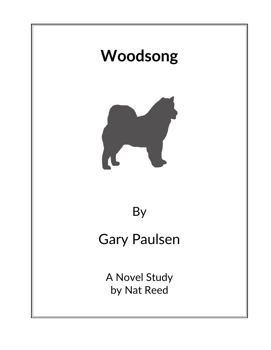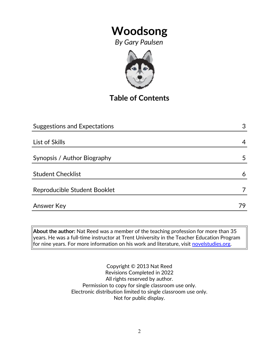*By Gary Paulsen*



# **Table of Contents**

| 4  |
|----|
|    |
| 5  |
|    |
| 6  |
|    |
| 79 |
|    |

**About the author:** Nat Reed was a member of the teaching profession for more than 35 years. He was a full-time instructor at Trent University in the Teacher Education Program for nine years. For more information on his work and literature, visit [novelstudies.org.](http://www.novelstudies.org/)

> Copyright © 2013 Nat Reed Revisions Completed in 2022 All rights reserved by author. Permission to copy for single classroom use only. Electronic distribution limited to single classroom use only. Not for public display.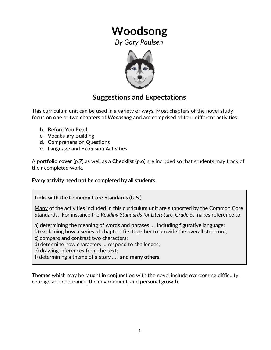*By Gary Paulsen*



### **Suggestions and Expectations**

This curriculum unit can be used in a variety of ways. Most chapters of the novel study focus on one or two chapters of *Woodsong* and are comprised of four different activities:

- b. Before You Read
- c. Vocabulary Building
- d. Comprehension Questions
- e. Language and Extension Activities

A **portfolio cover** (p.7) as well as a **Checklist** (p.6) are included so that students may track of their completed work.

**Every activity need not be completed by all students.** 

### **Links with the Common Core Standards (U.S.)**

Many of the activities included in this curriculum unit are supported by the Common Core Standards. For instance the *Reading Standards for Literature, Grade 5*, makes reference to

a) determining the meaning of words and phrases. . . including figurative language;

b) explaining how a series of chapters fits together to provide the overall structure;

c) compare and contrast two characters;

d) determine how characters … respond to challenges;

e) drawing inferences from the text;

f) determining a theme of a story . . . **and many others.**

**Themes** which may be taught in conjunction with the novel include overcoming difficulty, courage and endurance, the environment, and personal growth.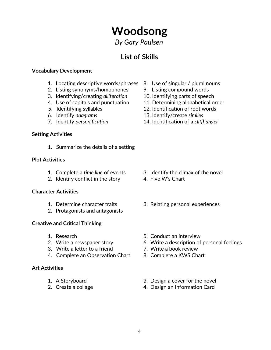*By Gary Paulsen*

# **List of Skills**

### **Vocabulary Development**

- 1. Locating descriptive words/phrases 8. Use of singular / plural nouns
- 2. Listing synonyms/homophones 9. Listing compound words
- 3. Identifying/creating *alliteration* 10. Identifying parts of speech
- 4. Use of capitals and punctuation 11. Determining alphabetical order
- 
- 
- 

### **Setting Activities**

1. Summarize the details of a setting

### **Plot Activities**

- 
- 2. Identify conflict in the story 4. Five W's Chart

#### **Character Activities**

- 
- 2. Protagonists and antagonists

### **Creative and Critical Thinking**

- 
- 
- 3. Write a letter to a friend 7. Write a book review
- 4. Complete an Observation Chart 8. Complete a KWS Chart

### **Art Activities**

- 
- 
- 
- 
- 
- 
- 5. Identifying syllables 12. Identification of root words
- 6. Identify *anagrams* 13. Identify/create *similes*
- 7. Identify *personification* 14. Identification of a *cliffhanger*

- 1. Complete a *time line* of events 3. Identify the climax of the novel
	-
- 1. Determine character traits 3. Relating personal experiences
- 1. Research 5. Conduct an interview
- 2. Write a newspaper story 6. Write a description of personal feelings
	-
	-
- 1. A Storyboard 3. Design a cover for the novel
- 2. Create a collage 2. Create a collage 4. Design an Information Card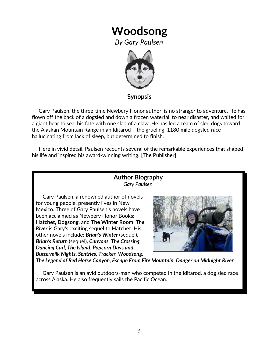*By Gary Paulsen*



**Synopsis**

 Gary Paulsen, the three-time Newbery Honor author, is no stranger to adventure. He has flown off the back of a dogsled and down a frozen waterfall to near disaster, and waited for a giant bear to seal his fate with one slap of a claw. He has led a team of sled dogs toward the Alaskan Mountain Range in an Iditarod – the grueling, 1180 mile dogsled race – hallucinating from lack of sleep, but determined to finish.

 Here in vivid detail, Paulsen recounts several of the remarkable experiences that shaped his life and inspired his award-winning writing. [The Publisher]

### **Author Biography** *Gary Paulsen*

 Gary Paulsen, a renowned author of novels for young people, presently lives in New Mexico. Three of Gary Paulsen's novels have been acclaimed as Newbery Honor Books: **Hatchet, Dogsong,** and **The Winter Room**. *The River* is Gary's exciting sequel to **Hatchet**. His other novels include: *Brian's Winter* (sequel)*, Brian's Return* (sequel)*, Canyons, The Crossing, Dancing Carl, The Island, Popcorn Days and Buttermilk Nights, Sentries, Tracker, Woodsong,*



*The Legend of Red Horse Canyon, Escape From Fire Mountain, Danger on Midnight River.*

 Gary Paulsen is an avid outdoors-man who competed in the Iditarod, a dog sled race across Alaska. He also frequently sails the Pacific Ocean.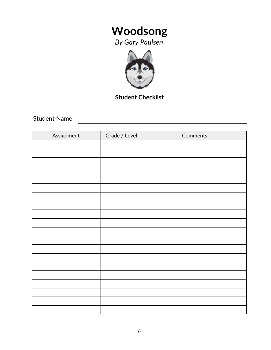*By Gary Paulsen*



### **Student Checklist**

Student Name

| Assignment | Grade / Level | Comments |
|------------|---------------|----------|
|            |               |          |
|            |               |          |
|            |               |          |
|            |               |          |
|            |               |          |
|            |               |          |
|            |               |          |
|            |               |          |
|            |               |          |
|            |               |          |
|            |               |          |
|            |               |          |
|            |               |          |
|            |               |          |
|            |               |          |
|            |               |          |
|            |               |          |
|            |               |          |
|            |               |          |
|            |               |          |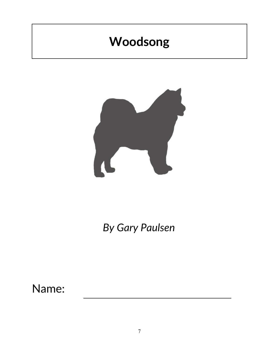

*By Gary Paulsen*

Name: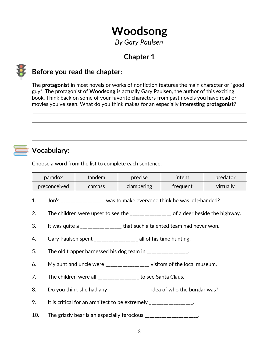*By Gary Paulsen*

# **Chapter 1**



## **Before you read the chapter**:

The **protagonist** in most novels or works of nonfiction features the main character or "good guy". The protagonist of **Woodsong** is actually Gary Paulsen, the author of this exciting book. Think back on some of your favorite characters from past novels you have read or movies you've seen. What do you think makes for an especially interesting **protagonist**?



### **Vocabulary:**

Choose a word from the list to complete each sentence.

| paradox      | tandem  | precise    | intent   | predator  |
|--------------|---------|------------|----------|-----------|
| preconceived | carcass | clambering | treguent | virtually |

- 1. Jon's \_\_\_\_\_\_\_\_\_\_\_\_\_\_\_\_\_\_ was to make everyone think he was left-handed?
- 2. The children were upset to see the \_\_\_\_\_\_\_\_\_\_\_\_\_\_\_ of a deer beside the highway.
- 3. It was quite a \_\_\_\_\_\_\_\_\_\_\_\_\_\_\_\_\_\_ that such a talented team had never won.
- 4. Gary Paulsen spent \_\_\_\_\_\_\_\_\_\_\_\_\_\_\_\_\_\_ all of his time hunting.
- 5. The old trapper harnessed his dog team in \_\_\_\_\_\_\_\_\_\_\_\_\_\_.
- 6. My aunt and uncle were \_\_\_\_\_\_\_\_\_\_\_\_\_\_\_\_\_\_ visitors of the local museum.
- 7. The children were all \_\_\_\_\_\_\_\_\_\_\_\_\_\_\_\_ to see Santa Claus.
- 8. Do you think she had any \_\_\_\_\_\_\_\_\_\_\_\_\_\_\_\_\_ idea of who the burglar was?
- 9. It is critical for an architect to be extremely \_\_\_\_\_\_\_\_\_\_\_\_\_\_\_\_.
- 10. The grizzly bear is an especially ferocious \_\_\_\_\_\_\_\_\_\_\_\_\_\_\_\_\_\_\_\_.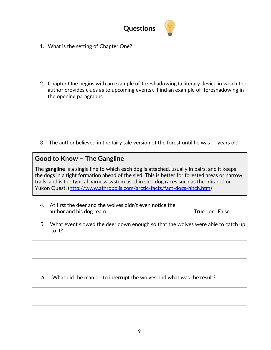

- 1. What is the setting of Chapter One?
- 2. Chapter One begins with an example of **foreshadowing** (a literary device in which the author provides clues as to upcoming events). Find an example of foreshadowing in the opening paragraphs.

3. The author believed in the fairy tale version of the forest until he was \_\_ years old.

### **Good to Know – The Gangline**

The **gangline** is a single line to which each dog is attached, usually in pairs, and it keeps the dogs in a tight formation ahead of the sled. This is better for forested areas or narrow trails, and is the typical harness system used in sled dog races such as the [Iditarod](http://www.athropolis.com/arctic-facts/fact-iditarod.htm) or [Yukon Quest.](http://www.athropolis.com/arctic-facts/fact-yukon-quest.htm) [\(http://www.athropolis.com/arctic-facts/fact-dogs-hitch.htm\)](http://www.athropolis.com/arctic-facts/fact-dogs-hitch.htm)

- 4. At first the deer and the wolves didn't even notice the author and his dog team. True or False
- 5. What event slowed the deer down enough so that the wolves were able to catch up to it?

6. What did the man do to interrupt the wolves and what was the result?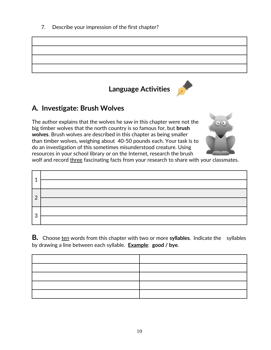7. Describe your impression of the first chapter?



**Language Activities**

# **A***.* **Investigate: Brush Wolves**

The author explains that the wolves he saw in this chapter were not the big timber wolves that the north country is so famous for, but **brush wolves**. Brush wolves are described in this chapter as being smaller than timber wolves, weighing about 40-50 pounds each. Your task is to do an investigation of this sometimes misunderstood creature. Using resources in your school library or on the Internet, research the brush



wolf and record three fascinating facts from your research to share with your classmates.

| $\Omega$ |                                                                                                                                                                                                                                                                                                                                                        |
|----------|--------------------------------------------------------------------------------------------------------------------------------------------------------------------------------------------------------------------------------------------------------------------------------------------------------------------------------------------------------|
|          |                                                                                                                                                                                                                                                                                                                                                        |
|          | $\frac{1}{\sqrt{2}}$ , $\frac{1}{\sqrt{2}}$ , $\frac{1}{\sqrt{2}}$ , $\frac{1}{\sqrt{2}}$ , $\frac{1}{\sqrt{2}}$ , $\frac{1}{\sqrt{2}}$ , $\frac{1}{\sqrt{2}}$ , $\frac{1}{\sqrt{2}}$ , $\frac{1}{\sqrt{2}}$ , $\frac{1}{\sqrt{2}}$ , $\frac{1}{\sqrt{2}}$ , $\frac{1}{\sqrt{2}}$ , $\frac{1}{\sqrt{2}}$ , $\frac{1}{\sqrt{2}}$ , $\frac{1}{\sqrt{2}}$ |
| 3        |                                                                                                                                                                                                                                                                                                                                                        |

**B***.* Choose ten words from this chapter with two or more **syllables**. Indicate the syllables by drawing a line between each syllable. **Example**: **good / bye**.

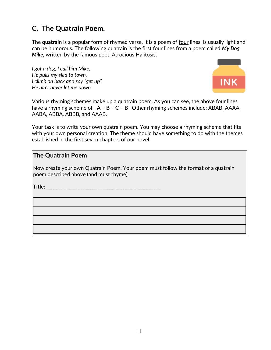# **C. The Quatrain Poem.**

The **quatrain** is a popular form of rhymed verse. It is a poem of four lines, is usually light and can be humorous. The following quatrain is the first four lines from a poem called *My Dog Mike,* written by the famous poet, Atrocious Halitosis.

*I got a dog, I call him Mike, He pulls my sled to town. I climb on back and say "get up", He ain't never let me down.*



Various rhyming schemes make up a quatrain poem. As you can see, the above four lines have a rhyming scheme of **A – B – C – B** Other rhyming schemes include: ABAB, AAAA, AABA, ABBA, ABBB, and AAAB.

Your task is to write your own quatrain poem. You may choose a rhyming scheme that fits with your own personal creation. The theme should have something to do with the themes established in the first seven chapters of our novel*.*

### **The Quatrain Poem**

Now create your own Quatrain Poem. Your poem must follow the format of a quatrain poem described above (and must rhyme).

**Title**: \_\_\_\_\_\_\_\_\_\_\_\_\_\_\_\_\_\_\_\_\_\_\_\_\_\_\_\_\_\_\_\_\_\_\_\_\_\_\_\_\_\_\_\_\_\_\_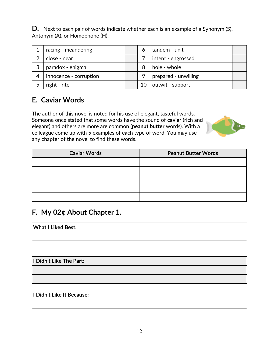**D.** Next to each pair of words indicate whether each is an example of a Synonym (S). Antonym (A), or Homophone (H).

|   | racing - meandering    |  | tandem - unit        |  |
|---|------------------------|--|----------------------|--|
| ⌒ | close - near           |  | intent - engrossed   |  |
| 3 | paradox - enigma       |  | hole - whole         |  |
|   | innocence - corruption |  | prepared - unwilling |  |
|   | right - rite           |  | outwit - support     |  |

## **E. Caviar Words**

The author of this novel is noted for his use of elegant, tasteful words. Someone once stated that some words have the sound of **caviar** (rich and elegant) and others are more are common (**peanut butter** words). With a colleague come up with 5 examples of each type of word. You may use any chapter of the novel to find these words.



| <b>Caviar Words</b> | <b>Peanut Butter Words</b> |
|---------------------|----------------------------|
|                     |                            |
|                     |                            |
|                     |                            |
|                     |                            |
|                     |                            |

### **F***.* **My 02¢ About Chapter 1.**

**What I Liked Best:** 

**I Didn't Like The Part:**

**I Didn't Like It Because:**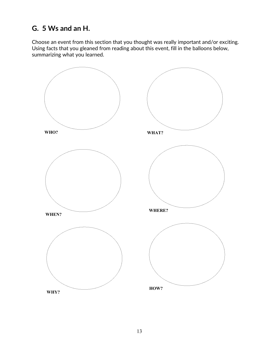## **G. 5 Ws and an H.**

Choose an event from this section that you thought was really important and/or exciting. Using facts that you gleaned from reading about this event, fill in the balloons below, summarizing what you learned.